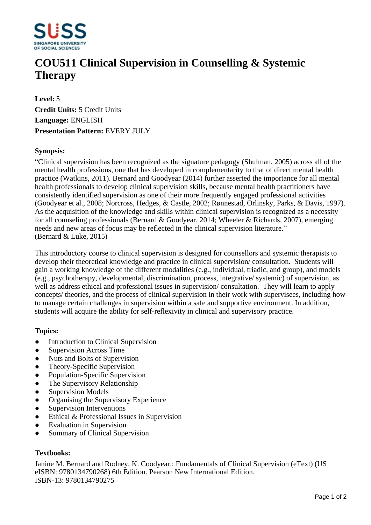

# **COU511 Clinical Supervision in Counselling & Systemic Therapy**

**Level:** 5 **Credit Units:** 5 Credit Units **Language:** ENGLISH **Presentation Pattern:** EVERY JULY

## **Synopsis:**

³Clinical supervision has been recognized as the signature pedagogy (Shulman, 2005) across all of the mental health professions, one that has developed in complementarity to that of direct mental health practice (Watkins, 2011). Bernard and Goodyear (2014) further asserted the importance for all mental health professionals to develop clinical supervision skills, because mental health practitioners have consistently identified supervision as one of their more frequently engaged professional activities (Goodyear et al., 2008; Norcross, Hedges, & Castle, 2002; Rønnestad, Orlinsky, Parks, & Davis, 1997). As the acquisition of the knowledge and skills within clinical supervision is recognized as a necessity for all counseling professionals (Bernard & Goodyear, 2014; Wheeler & Richards, 2007), emerging needs and new areas of focus may be reflected in the clinical supervision literature.<sup>"</sup> (Bernard & Luke, 2015)

This introductory course to clinical supervision is designed for counsellors and systemic therapists to develop their theoretical knowledge and practice in clinical supervision/ consultation. Students will gain a working knowledge of the different modalities (e.g., individual, triadic, and group), and models (e.g., psychotherapy, developmental, discrimination, process, integrative/ systemic) of supervision, as well as address ethical and professional issues in supervision/ consultation. They will learn to apply concepts/ theories, and the process of clinical supervision in their work with supervisees, including how to manage certain challenges in supervision within a safe and supportive environment. In addition, students will acquire the ability for self-reflexivity in clinical and supervisory practice.

## **Topics:**

- Introduction to Clinical Supervision
- Supervision Across Time
- Nuts and Bolts of Supervision
- Theory-Specific Supervision
- Population-Specific Supervision
- The Supervisory Relationship
- Supervision Models
- Organising the Supervisory Experience
- Supervision Interventions
- Ethical & Professional Issues in Supervision
- Evaluation in Supervision
- Summary of Clinical Supervision

## **Textbooks:**

Janine M. Bernard and Rodney, K. Coodyear.: Fundamentals of Clinical Supervision (eText) (US eISBN: 9780134790268) 6th Edition. Pearson New International Edition. ISBN-13: 9780134790275